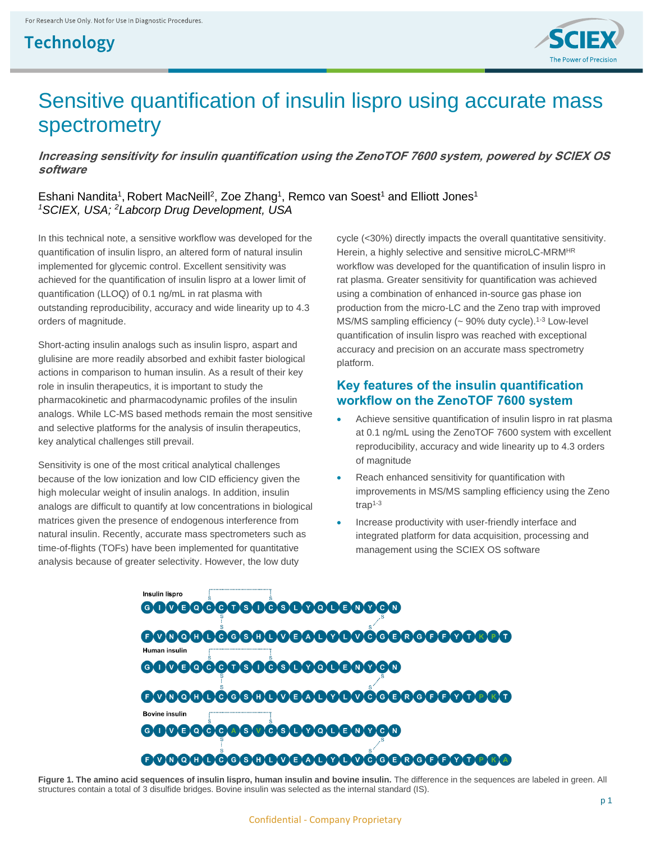## **Technology**



# Sensitive quantification of insulin lispro using accurate mass spectrometry

**Increasing sensitivity for insulin quantification using the ZenoTOF 7600 system, powered by SCIEX OS software**

Eshani Nandita<sup>1</sup>, Robert MacNeill<sup>2</sup>, Zoe Zhang<sup>1</sup>, Remco van Soest<sup>1</sup> and Elliott Jones<sup>1</sup> *<sup>1</sup>SCIEX, USA; <sup>2</sup>Labcorp Drug Development, USA*

In this technical note, a sensitive workflow was developed for the quantification of insulin lispro, an altered form of natural insulin implemented for glycemic control. Excellent sensitivity was achieved for the quantification of insulin lispro at a lower limit of quantification (LLOQ) of 0.1 ng/mL in rat plasma with outstanding reproducibility, accuracy and wide linearity up to 4.3 orders of magnitude.

Short-acting insulin analogs such as insulin lispro, aspart and glulisine are more readily absorbed and exhibit faster biological actions in comparison to human insulin. As a result of their key role in insulin therapeutics, it is important to study the pharmacokinetic and pharmacodynamic profiles of the insulin analogs. While LC-MS based methods remain the most sensitive and selective platforms for the analysis of insulin therapeutics, key analytical challenges still prevail.

Sensitivity is one of the most critical analytical challenges because of the low ionization and low CID efficiency given the high molecular weight of insulin analogs. In addition, insulin analogs are difficult to quantify at low concentrations in biological matrices given the presence of endogenous interference from natural insulin. Recently, accurate mass spectrometers such as time-of-flights (TOFs) have been implemented for quantitative analysis because of greater selectivity. However, the low duty

cycle (<30%) directly impacts the overall quantitative sensitivity. Herein, a highly selective and sensitive microLC-MRMHR workflow was developed for the quantification of insulin lispro in rat plasma. Greater sensitivity for quantification was achieved using a combination of enhanced in-source gas phase ion production from the micro-LC and the Zeno trap with improved MS/MS sampling efficiency (~ 90% duty cycle).<sup>1-3</sup> Low-level quantification of insulin lispro was reached with exceptional accuracy and precision on an accurate mass spectrometry platform.

## **Key features of the insulin quantification workflow on the ZenoTOF 7600 system**

- Achieve sensitive quantification of insulin lispro in rat plasma at 0.1 ng/mL using the ZenoTOF 7600 system with excellent reproducibility, accuracy and wide linearity up to 4.3 orders of magnitude
- Reach enhanced sensitivity for quantification with improvements in MS/MS sampling efficiency using the Zeno trap $1-3$
- Increase productivity with user-friendly interface and integrated platform for data acquisition, processing and management using the SCIEX OS software

Insulin lispro 00000000000000000000000000000000000 Human insulin 00000000000000000000000000000000000 **Bovine insulin** 0000000000000000000000

Figure 1. The amino acid sequences of insulin lispro, human insulin and bovine insulin. The difference in the sequences are labeled in green. All structures contain a total of 3 disulfide bridges. Bovine insulin was selected as the internal standard (IS).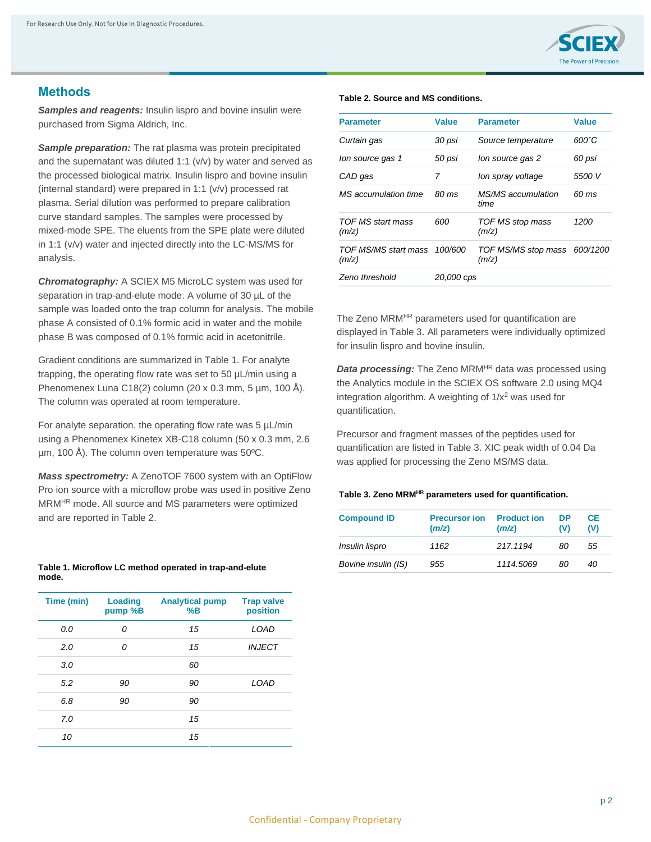

## **Methods**

*Samples and reagents:* Insulin lispro and bovine insulin were purchased from Sigma Aldrich, Inc.

*Sample preparation:* The rat plasma was protein precipitated and the supernatant was diluted 1:1 (v/v) by water and served as the processed biological matrix. Insulin lispro and bovine insulin (internal standard) were prepared in 1:1 (v/v) processed rat plasma. Serial dilution was performed to prepare calibration curve standard samples. The samples were processed by mixed-mode SPE. The eluents from the SPE plate were diluted in 1:1 (v/v) water and injected directly into the LC-MS/MS for analysis.

*Chromatography:* A SCIEX M5 MicroLC system was used for separation in trap-and-elute mode. A volume of 30 µL of the sample was loaded onto the trap column for analysis. The mobile phase A consisted of 0.1% formic acid in water and the mobile phase B was composed of 0.1% formic acid in acetonitrile.

Gradient conditions are summarized in Table 1. For analyte trapping, the operating flow rate was set to 50 µL/min using a Phenomenex Luna C18(2) column (20 x 0.3 mm, 5 µm, 100 Å). The column was operated at room temperature.

For analyte separation, the operating flow rate was 5 µL/min using a Phenomenex Kinetex XB-C18 column (50 x 0.3 mm, 2.6 µm, 100 Å). The column oven temperature was 50ºC.

*Mass spectrometry:* A ZenoTOF 7600 system with an OptiFlow Pro ion source with a microflow probe was used in positive Zeno MRMHR mode. All source and MS parameters were optimized and are reported in Table 2.

#### **Table 1. Microflow LC method operated in trap-and-elute mode.**

| Time (min) | Loading<br>pump %B | <b>Analytical pump</b><br>%B | <b>Trap valve</b><br>position |
|------------|--------------------|------------------------------|-------------------------------|
| 0.0        | 0                  | 15                           | LOAD                          |
| 2.0        | 0                  | 15                           | <b>INJECT</b>                 |
| 3.0        |                    | 60                           |                               |
| 5.2        | 90                 | 90                           | LOAD                          |
| 6.8        | 90                 | 90                           |                               |
| 7.0        |                    | 15                           |                               |
| 10         |                    | 15                           |                               |

#### **Table 2. Source and MS conditions.**

| <b>Parameter</b>              | <b>Value</b> | <b>Parameter</b>             | Value    |
|-------------------------------|--------------|------------------------------|----------|
| Curtain gas                   | 30 psi       | Source temperature           | 600°C    |
| lon source gas 1              | 50 psi       | lon source gas 2             | 60 psi   |
| CAD gas                       | 7            | lon spray voltage            | 5500 V   |
| MS accumulation time          | 80 ms        | MS/MS accumulation<br>time   | 60 ms    |
| TOF MS start mass<br>(m/z)    | 600          | TOF MS stop mass<br>(m/z)    | 1200     |
| TOF MS/MS start mass<br>(m/z) | 100/600      | TOF MS/MS stop mass<br>(m/z) | 600/1200 |
| Zeno threshold                | 20,000 cps   |                              |          |

The Zeno MRM<sup>HR</sup> parameters used for quantification are displayed in Table 3. All parameters were individually optimized for insulin lispro and bovine insulin.

*Data processing:* The Zeno MRM<sup>HR</sup> data was processed using the Analytics module in the SCIEX OS software 2.0 using MQ4 integration algorithm. A weighting of  $1/x^2$  was used for quantification.

Precursor and fragment masses of the peptides used for quantification are listed in Table 3. XIC peak width of 0.04 Da was applied for processing the Zeno MS/MS data.

#### **Table 3. Zeno MRMHR parameters used for quantification.**

| <b>Compound ID</b>  | <b>Precursor ion</b><br>(m/z) | <b>Product ion</b><br>(m/z) | DP<br>(V) | CE.<br>(V) |
|---------------------|-------------------------------|-----------------------------|-----------|------------|
| Insulin lispro      | 1162                          | 217.1194                    | 80        | 55         |
| Bovine insulin (IS) | 955                           | 1114.5069                   | 80        | 40         |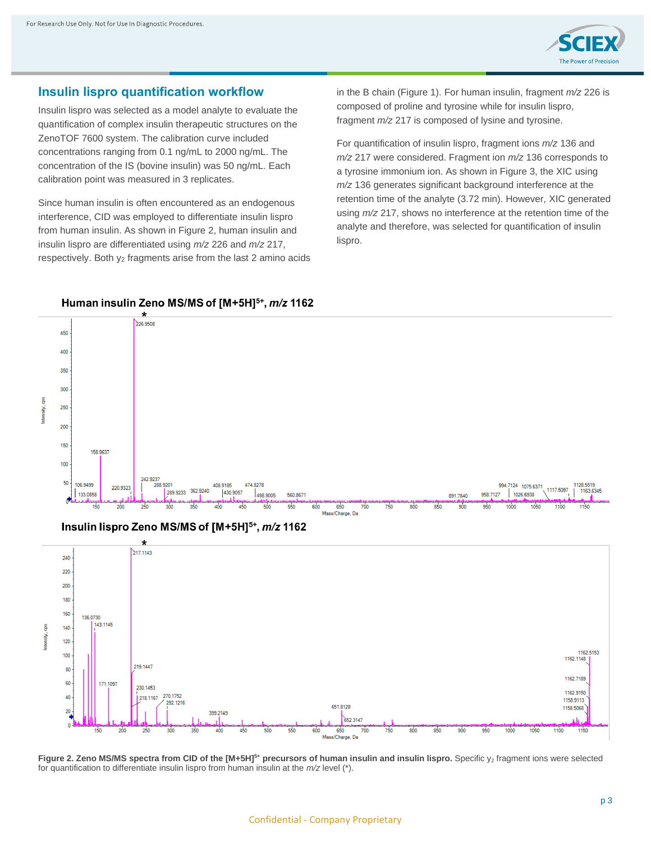

### **Insulin lispro quantification workflow**

Insulin lispro was selected as a model analyte to evaluate the quantification of complex insulin therapeutic structures on the ZenoTOF 7600 system. The calibration curve included concentrations ranging from 0.1 ng/mL to 2000 ng/mL. The concentration of the IS (bovine insulin) was 50 ng/mL. Each calibration point was measured in 3 replicates.

Since human insulin is often encountered as an endogenous interference, CID was employed to differentiate insulin lispro from human insulin. As shown in Figure 2, human insulin and insulin lispro are differentiated using *m/z* 226 and *m/z* 217, respectively. Both y<sup>2</sup> fragments arise from the last 2 amino acids

Human insulin Zeno MS/MS of [M+5H]<sup>5+</sup>, m/z 1162

in the B chain (Figure 1). For human insulin, fragment *m/z* 226 is composed of proline and tyrosine while for insulin lispro, fragment *m/z* 217 is composed of lysine and tyrosine.

For quantification of insulin lispro, fragment ions *m/z* 136 and *m/z* 217 were considered. Fragment ion *m/z* 136 corresponds to a tyrosine immonium ion. As shown in Figure 3, the XIC using *m/z* 136 generates significant background interference at the retention time of the analyte (3.72 min). However, XIC generated using *m/z* 217, shows no interference at the retention time of the analyte and therefore, was selected for quantification of insulin lispro.



#### Insulin lispro Zeno MS/MS of [M+5H]<sup>5+</sup>, m/z 1162



**Figure 2. Zeno MS/MS spectra from CID of the [M+5H]<sup>5+</sup> precursors of human insulin and insulin lispro. Specific y<sub>2</sub> fragment ions were selected** for quantification to differentiate insulin lispro from human insulin at the *m/z* level (\*).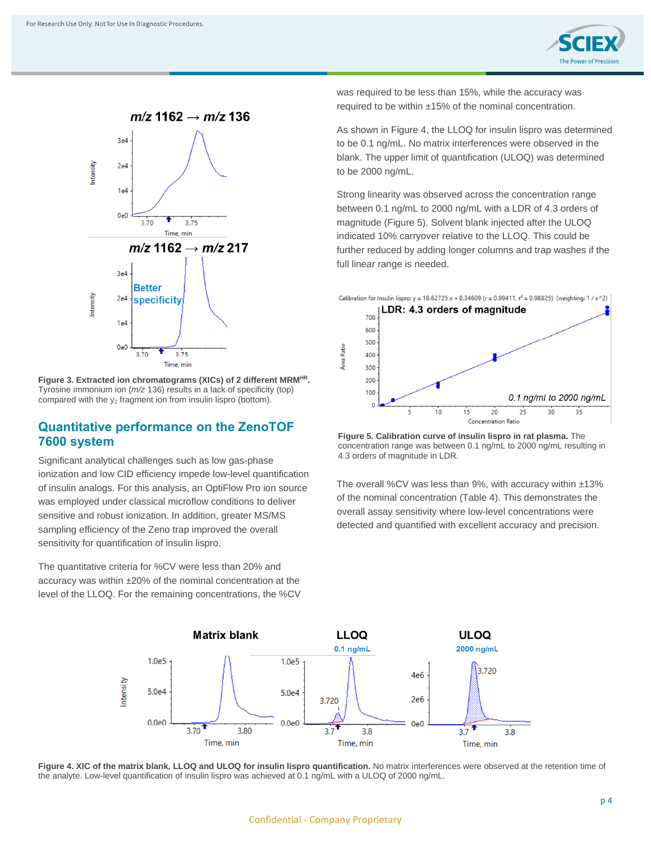



**Figure 3. Extracted ion chromatograms (XICs) of 2 different MRMHR .** Tyrosine immonium ion (*m/z* 136) results in a lack of specificity (top) compared with the  $y_2$  fragment ion from insulin lispro (bottom).

### **Quantitative performance on the ZenoTOF 7600 system**

Significant analytical challenges such as low gas-phase ionization and low CID efficiency impede low-level quantification of insulin analogs. For this analysis, an OptiFlow Pro ion source was employed under classical microflow conditions to deliver sensitive and robust ionization. In addition, greater MS/MS sampling efficiency of the Zeno trap improved the overall sensitivity for quantification of insulin lispro.

The quantitative criteria for %CV were less than 20% and accuracy was within ±20% of the nominal concentration at the level of the LLOQ. For the remaining concentrations, the %CV was required to be less than 15%, while the accuracy was required to be within ±15% of the nominal concentration.

As shown in Figure 4, the LLOQ for insulin lispro was determined to be 0.1 ng/mL. No matrix interferences were observed in the blank. The upper limit of quantification (ULOQ) was determined to be 2000 ng/mL.

Strong linearity was observed across the concentration range between 0.1 ng/mL to 2000 ng/mL with a LDR of 4.3 orders of magnitude (Figure 5). Solvent blank injected after the ULOQ indicated 10% carryover relative to the LLOQ. This could be further reduced by adding longer columns and trap washes if the full linear range is needed.



**Figure 5. Calibration curve of insulin lispro in rat plasma.** The concentration range was between 0.1 ng/mL to 2000 ng/mL resulting in 4.3 orders of magnitude in LDR.

The overall %CV was less than 9%, with accuracy within ±13% of the nominal concentration (Table 4). This demonstrates the overall assay sensitivity where low-level concentrations were detected and quantified with excellent accuracy and precision.



Figure 4. XIC of the matrix blank, LLOQ and ULOQ for insulin lispro quantification. No matrix interferences were observed at the retention time of the analyte. Low-level quantification of insulin lispro was achieved at 0.1 ng/mL with a ULOQ of 2000 ng/mL.